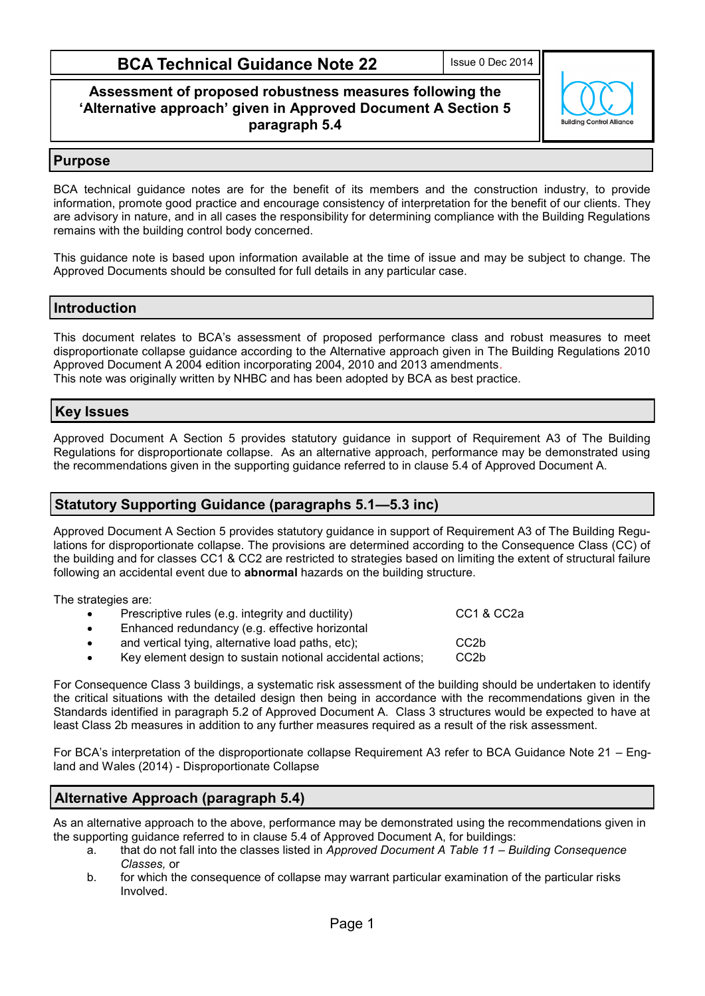# **BCA Technical Guidance Note 22**

Issue 0 Dec 2014

## **Assessment of proposed robustness measures following the 'Alternative approach' given in Approved Document A Section 5 paragraph 5.4**



## **Purpose**

BCA technical guidance notes are for the benefit of its members and the construction industry, to provide information, promote good practice and encourage consistency of interpretation for the benefit of our clients. They are advisory in nature, and in all cases the responsibility for determining compliance with the Building Regulations remains with the building control body concerned.

This guidance note is based upon information available at the time of issue and may be subject to change. The Approved Documents should be consulted for full details in any particular case.

# **Introduction**

This document relates to BCA's assessment of proposed performance class and robust measures to meet disproportionate collapse guidance according to the Alternative approach given in The Building Regulations 2010 Approved Document A 2004 edition incorporating 2004, 2010 and 2013 amendments. This note was originally written by NHBC and has been adopted by BCA as best practice.

#### **Key Issues**

Approved Document A Section 5 provides statutory guidance in support of Requirement A3 of The Building Regulations for disproportionate collapse. As an alternative approach, performance may be demonstrated using the recommendations given in the supporting guidance referred to in clause 5.4 of Approved Document A.

## **Statutory Supporting Guidance (paragraphs 5.1—5.3 inc)**

Approved Document A Section 5 provides statutory guidance in support of Requirement A3 of The Building Regulations for disproportionate collapse. The provisions are determined according to the Consequence Class (CC) of the building and for classes CC1 & CC2 are restricted to strategies based on limiting the extent of structural failure following an accidental event due to **abnormal** hazards on the building structure.

The strategies are:

- Prescriptive rules (e.g. integrity and ductility) CC1 & CC2a Enhanced redundancy (e.g. effective horizontal
- and vertical tying, alternative load paths, etc); CC2b
- Key element design to sustain notional accidental actions; CC2b

For Consequence Class 3 buildings, a systematic risk assessment of the building should be undertaken to identify the critical situations with the detailed design then being in accordance with the recommendations given in the Standards identified in paragraph 5.2 of Approved Document A. Class 3 structures would be expected to have at least Class 2b measures in addition to any further measures required as a result of the risk assessment.

For BCA's interpretation of the disproportionate collapse Requirement A3 refer to BCA Guidance Note 21 – England and Wales (2014) - Disproportionate Collapse

# **Alternative Approach (paragraph 5.4)**

As an alternative approach to the above, performance may be demonstrated using the recommendations given in the supporting guidance referred to in clause 5.4 of Approved Document A, for buildings:

- a. that do not fall into the classes listed in *Approved Document A Table 11 – Building Consequence Classes,* or
- b. for which the consequence of collapse may warrant particular examination of the particular risks Involved.